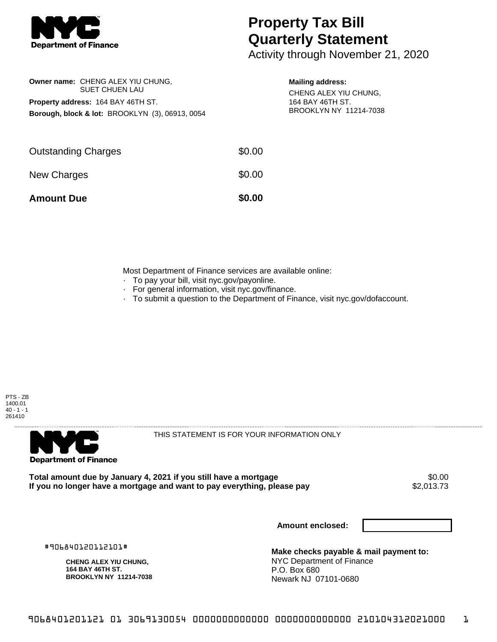

## **Property Tax Bill Quarterly Statement**

Activity through November 21, 2020

|                                                            | Owner name: CHENG ALEX YIU CHUNG.<br><b>SUET CHUEN LAU</b> |  |  |  |
|------------------------------------------------------------|------------------------------------------------------------|--|--|--|
| <b>Property address: 164 BAY 46TH ST.</b>                  |                                                            |  |  |  |
| <b>Borough, block &amp; lot: BROOKLYN (3), 06913, 0054</b> |                                                            |  |  |  |

## **Mailing address:**

CHENG ALEX YIU CHUNG, 164 BAY 46TH ST. BROOKLYN NY 11214-7038

| <b>Amount Due</b>          | \$0.00 |
|----------------------------|--------|
| New Charges                | \$0.00 |
| <b>Outstanding Charges</b> | \$0.00 |

Most Department of Finance services are available online:

- · To pay your bill, visit nyc.gov/payonline.
- For general information, visit nyc.gov/finance.
- · To submit a question to the Department of Finance, visit nyc.gov/dofaccount.





THIS STATEMENT IS FOR YOUR INFORMATION ONLY

Total amount due by January 4, 2021 if you still have a mortgage **\$0.00** \$0.00<br>If you no longer have a mortgage and want to pay everything, please pay \$2,013.73 If you no longer have a mortgage and want to pay everything, please pay

**Amount enclosed:**

#906840120112101#

**CHENG ALEX YIU CHUNG, 164 BAY 46TH ST. BROOKLYN NY 11214-7038**

**Make checks payable & mail payment to:** NYC Department of Finance P.O. Box 680 Newark NJ 07101-0680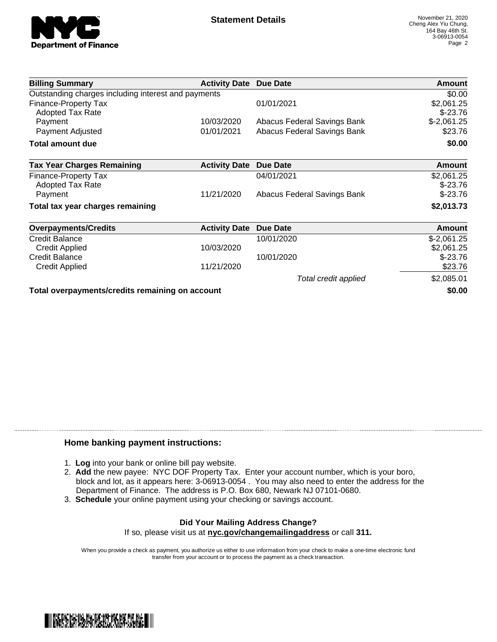

| <b>Billing Summary</b>                              | <b>Activity Date</b> | Due Date                    | Amount        |
|-----------------------------------------------------|----------------------|-----------------------------|---------------|
| Outstanding charges including interest and payments |                      |                             | \$0.00        |
| Finance-Property Tax                                |                      | 01/01/2021                  | \$2,061.25    |
| <b>Adopted Tax Rate</b>                             |                      |                             | $$-23.76$     |
| Payment                                             | 10/03/2020           | Abacus Federal Savings Bank | $$-2,061.25$  |
| Payment Adjusted                                    | 01/01/2021           | Abacus Federal Savings Bank | \$23.76       |
| Total amount due                                    |                      |                             | \$0.00        |
| <b>Tax Year Charges Remaining</b>                   | <b>Activity Date</b> | <b>Due Date</b>             | <b>Amount</b> |
| <b>Finance-Property Tax</b>                         |                      | 04/01/2021                  | \$2,061.25    |
| <b>Adopted Tax Rate</b>                             |                      |                             | $$-23.76$     |
| Payment                                             | 11/21/2020           | Abacus Federal Savings Bank | $$-23.76$     |
| Total tax year charges remaining                    |                      |                             | \$2,013.73    |
| <b>Overpayments/Credits</b>                         | <b>Activity Date</b> | <b>Due Date</b>             | <b>Amount</b> |
| Credit Balance                                      |                      | 10/01/2020                  | $$-2,061.25$  |
| <b>Credit Applied</b>                               | 10/03/2020           |                             | \$2,061.25    |
| <b>Credit Balance</b>                               |                      | 10/01/2020                  | $$-23.76$     |
| <b>Credit Applied</b>                               | 11/21/2020           |                             | \$23.76       |
|                                                     |                      | Total credit applied        | \$2,085.01    |
| Total overpayments/credits remaining on account     |                      |                             | \$0.00        |

## **Home banking payment instructions:**

- 1. **Log** into your bank or online bill pay website.
- 2. **Add** the new payee: NYC DOF Property Tax. Enter your account number, which is your boro, block and lot, as it appears here: 3-06913-0054 . You may also need to enter the address for the Department of Finance. The address is P.O. Box 680, Newark NJ 07101-0680.
- 3. **Schedule** your online payment using your checking or savings account.

## **Did Your Mailing Address Change?** If so, please visit us at **nyc.gov/changemailingaddress** or call **311.**

When you provide a check as payment, you authorize us either to use information from your check to make a one-time electronic fund transfer from your account or to process the payment as a check transaction.